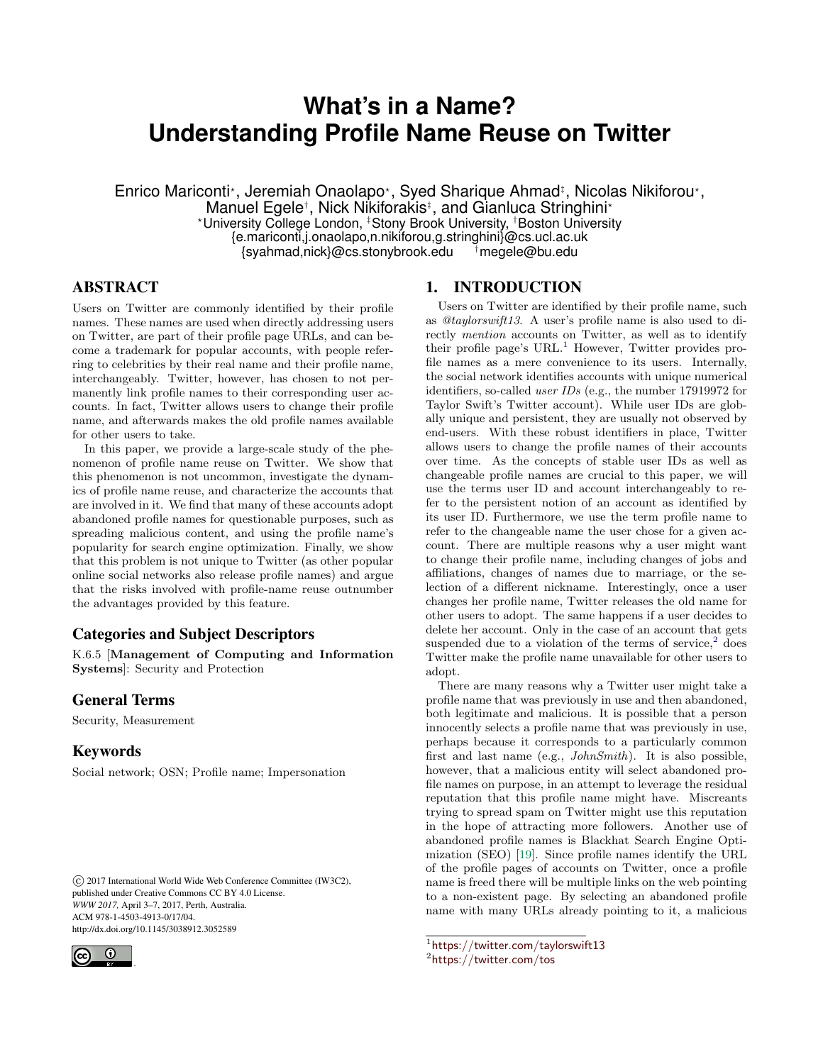# **What's in a Name? Understanding Profile Name Reuse on Twitter**

Enrico Mariconti\*, Jeremiah Onaolapo\*, Syed Sharique Ahmad‡, Nicolas Nikiforou\*, Manuel Egele<sup>†</sup>, Nick Nikiforakis<sup>‡</sup>, and Gianluca Stringhini<sup>\*</sup> \*University College London, #Stony Brook University, †Boston University {e.mariconti,j.onaolapo,n.nikiforou,g.stringhini}@cs.ucl.ac.uk {syahmad,nick}@cs.stonybrook.edu †megele@bu.edu

# ABSTRACT

Users on Twitter are commonly identified by their profile names. These names are used when directly addressing users on Twitter, are part of their profile page URLs, and can become a trademark for popular accounts, with people referring to celebrities by their real name and their profile name, interchangeably. Twitter, however, has chosen to not permanently link profile names to their corresponding user accounts. In fact, Twitter allows users to change their profile name, and afterwards makes the old profile names available for other users to take.

In this paper, we provide a large-scale study of the phenomenon of profile name reuse on Twitter. We show that this phenomenon is not uncommon, investigate the dynamics of profile name reuse, and characterize the accounts that are involved in it. We find that many of these accounts adopt abandoned profile names for questionable purposes, such as spreading malicious content, and using the profile name's popularity for search engine optimization. Finally, we show that this problem is not unique to Twitter (as other popular online social networks also release profile names) and argue that the risks involved with profile-name reuse outnumber the advantages provided by this feature.

# Categories and Subject Descriptors

K.6.5 [Management of Computing and Information Systems]: Security and Protection

#### General Terms

Security, Measurement

### Keywords

Social network; OSN; Profile name; Impersonation

 c 2017 International World Wide Web Conference Committee (IW3C2), published under Creative Commons CC BY 4.0 License. *WWW 2017,* April 3–7, 2017, Perth, Australia. ACM 978-1-4503-4913-0/17/04. http://dx.doi.org/10.1145/3038912.3052589



## <span id="page-0-2"></span>1. INTRODUCTION

Users on Twitter are identified by their profile name, such as @taylorswift13. A user's profile name is also used to directly mention accounts on Twitter, as well as to identify their profile page's URL.<sup>[1](#page-0-0)</sup> However, Twitter provides profile names as a mere convenience to its users. Internally, the social network identifies accounts with unique numerical identifiers, so-called user IDs (e.g., the number 17919972 for Taylor Swift's Twitter account). While user IDs are globally unique and persistent, they are usually not observed by end-users. With these robust identifiers in place, Twitter allows users to change the profile names of their accounts over time. As the concepts of stable user IDs as well as changeable profile names are crucial to this paper, we will use the terms user ID and account interchangeably to refer to the persistent notion of an account as identified by its user ID. Furthermore, we use the term profile name to refer to the changeable name the user chose for a given account. There are multiple reasons why a user might want to change their profile name, including changes of jobs and affiliations, changes of names due to marriage, or the selection of a different nickname. Interestingly, once a user changes her profile name, Twitter releases the old name for other users to adopt. The same happens if a user decides to delete her account. Only in the case of an account that gets suspended due to a violation of the terms of service, $2$  does Twitter make the profile name unavailable for other users to adopt.

There are many reasons why a Twitter user might take a profile name that was previously in use and then abandoned, both legitimate and malicious. It is possible that a person innocently selects a profile name that was previously in use, perhaps because it corresponds to a particularly common first and last name (e.g., JohnSmith). It is also possible, however, that a malicious entity will select abandoned profile names on purpose, in an attempt to leverage the residual reputation that this profile name might have. Miscreants trying to spread spam on Twitter might use this reputation in the hope of attracting more followers. Another use of abandoned profile names is Blackhat Search Engine Optimization (SEO) [\[19\]](#page-9-0). Since profile names identify the URL of the profile pages of accounts on Twitter, once a profile name is freed there will be multiple links on the web pointing to a non-existent page. By selecting an abandoned profile name with many URLs already pointing to it, a malicious

<span id="page-0-0"></span> $1$ <https://twitter.com/taylorswift13>

<span id="page-0-1"></span> $^{2}$ https: $//$ twitter.com/tos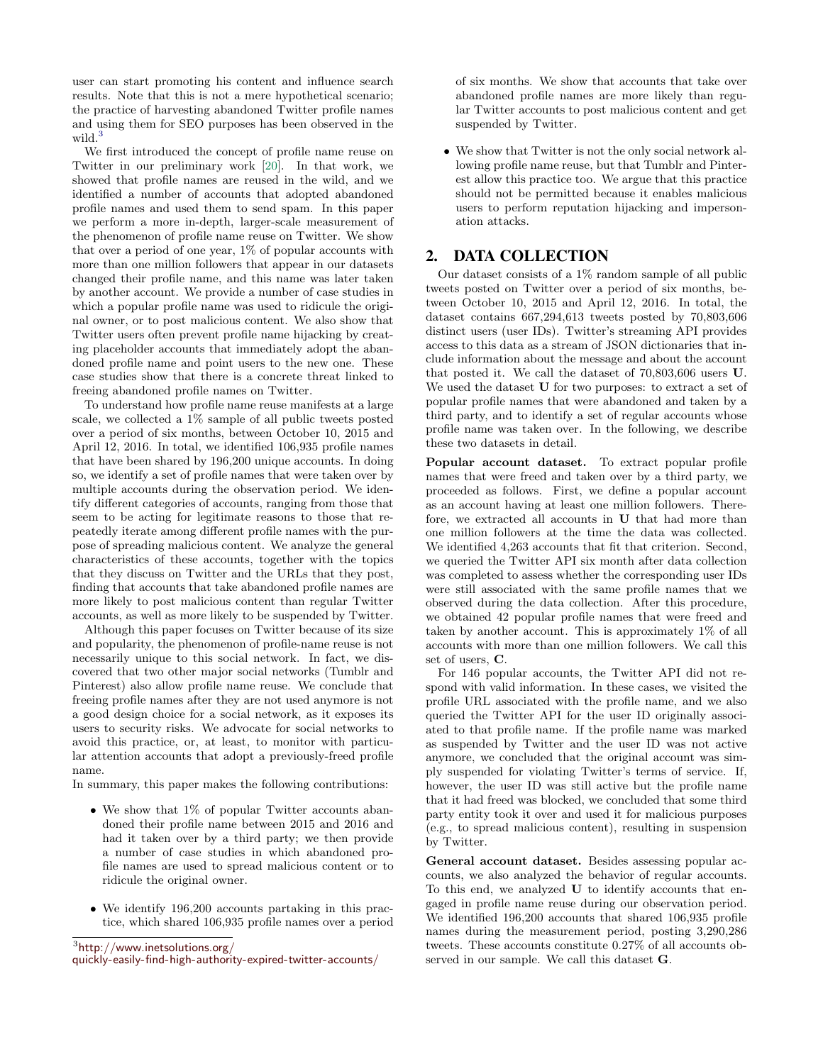user can start promoting his content and influence search results. Note that this is not a mere hypothetical scenario; the practice of harvesting abandoned Twitter profile names and using them for SEO purposes has been observed in the wild.<sup>[3](#page-1-0)</sup>

We first introduced the concept of profile name reuse on Twitter in our preliminary work [\[20\]](#page-9-1). In that work, we showed that profile names are reused in the wild, and we identified a number of accounts that adopted abandoned profile names and used them to send spam. In this paper we perform a more in-depth, larger-scale measurement of the phenomenon of profile name reuse on Twitter. We show that over a period of one year, 1% of popular accounts with more than one million followers that appear in our datasets changed their profile name, and this name was later taken by another account. We provide a number of case studies in which a popular profile name was used to ridicule the original owner, or to post malicious content. We also show that Twitter users often prevent profile name hijacking by creating placeholder accounts that immediately adopt the abandoned profile name and point users to the new one. These case studies show that there is a concrete threat linked to freeing abandoned profile names on Twitter.

To understand how profile name reuse manifests at a large scale, we collected a 1% sample of all public tweets posted over a period of six months, between October 10, 2015 and April 12, 2016. In total, we identified 106,935 profile names that have been shared by 196,200 unique accounts. In doing so, we identify a set of profile names that were taken over by multiple accounts during the observation period. We identify different categories of accounts, ranging from those that seem to be acting for legitimate reasons to those that repeatedly iterate among different profile names with the purpose of spreading malicious content. We analyze the general characteristics of these accounts, together with the topics that they discuss on Twitter and the URLs that they post, finding that accounts that take abandoned profile names are more likely to post malicious content than regular Twitter accounts, as well as more likely to be suspended by Twitter.

Although this paper focuses on Twitter because of its size and popularity, the phenomenon of profile-name reuse is not necessarily unique to this social network. In fact, we discovered that two other major social networks (Tumblr and Pinterest) also allow profile name reuse. We conclude that freeing profile names after they are not used anymore is not a good design choice for a social network, as it exposes its users to security risks. We advocate for social networks to avoid this practice, or, at least, to monitor with particular attention accounts that adopt a previously-freed profile name.

In summary, this paper makes the following contributions:

- We show that 1% of popular Twitter accounts abandoned their profile name between 2015 and 2016 and had it taken over by a third party; we then provide a number of case studies in which abandoned profile names are used to spread malicious content or to ridicule the original owner.
- We identify 196,200 accounts partaking in this practice, which shared 106,935 profile names over a period

<span id="page-1-0"></span> $3$ [http://www.inetsolutions.org/](http://www.inetsolutions.org/quickly-easily-find-high-authority-expired-twitter-accounts/)

of six months. We show that accounts that take over abandoned profile names are more likely than regular Twitter accounts to post malicious content and get suspended by Twitter.

• We show that Twitter is not the only social network allowing profile name reuse, but that Tumblr and Pinterest allow this practice too. We argue that this practice should not be permitted because it enables malicious users to perform reputation hijacking and impersonation attacks.

## <span id="page-1-1"></span>2. DATA COLLECTION

Our dataset consists of a 1% random sample of all public tweets posted on Twitter over a period of six months, between October 10, 2015 and April 12, 2016. In total, the dataset contains 667,294,613 tweets posted by 70,803,606 distinct users (user IDs). Twitter's streaming API provides access to this data as a stream of JSON dictionaries that include information about the message and about the account that posted it. We call the dataset of 70,803,606 users U. We used the dataset U for two purposes: to extract a set of popular profile names that were abandoned and taken by a third party, and to identify a set of regular accounts whose profile name was taken over. In the following, we describe these two datasets in detail.

Popular account dataset. To extract popular profile names that were freed and taken over by a third party, we proceeded as follows. First, we define a popular account as an account having at least one million followers. Therefore, we extracted all accounts in U that had more than one million followers at the time the data was collected. We identified 4,263 accounts that fit that criterion. Second, we queried the Twitter API six month after data collection was completed to assess whether the corresponding user IDs were still associated with the same profile names that we observed during the data collection. After this procedure, we obtained 42 popular profile names that were freed and taken by another account. This is approximately 1% of all accounts with more than one million followers. We call this set of users, C.

For 146 popular accounts, the Twitter API did not respond with valid information. In these cases, we visited the profile URL associated with the profile name, and we also queried the Twitter API for the user ID originally associated to that profile name. If the profile name was marked as suspended by Twitter and the user ID was not active anymore, we concluded that the original account was simply suspended for violating Twitter's terms of service. If, however, the user ID was still active but the profile name that it had freed was blocked, we concluded that some third party entity took it over and used it for malicious purposes (e.g., to spread malicious content), resulting in suspension by Twitter.

General account dataset. Besides assessing popular accounts, we also analyzed the behavior of regular accounts. To this end, we analyzed U to identify accounts that engaged in profile name reuse during our observation period. We identified 196,200 accounts that shared 106,935 profile names during the measurement period, posting 3,290,286 tweets. These accounts constitute 0.27% of all accounts observed in our sample. We call this dataset G.

[quickly-easily-find-high-authority-expired-twitter-accounts/](http://www.inetsolutions.org/quickly-easily-find-high-authority-expired-twitter-accounts/)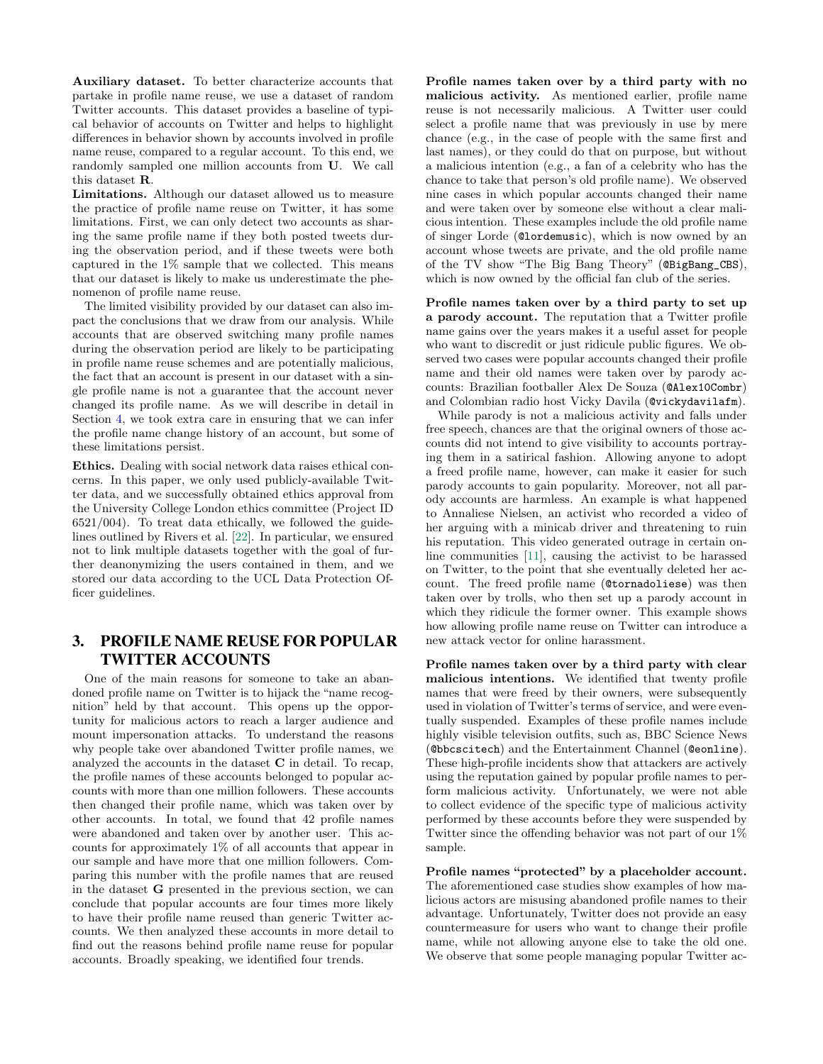Auxiliary dataset. To better characterize accounts that partake in profile name reuse, we use a dataset of random Twitter accounts. This dataset provides a baseline of typical behavior of accounts on Twitter and helps to highlight differences in behavior shown by accounts involved in profile name reuse, compared to a regular account. To this end, we randomly sampled one million accounts from U. We call this dataset R.

Limitations. Although our dataset allowed us to measure the practice of profile name reuse on Twitter, it has some limitations. First, we can only detect two accounts as sharing the same profile name if they both posted tweets during the observation period, and if these tweets were both captured in the 1% sample that we collected. This means that our dataset is likely to make us underestimate the phenomenon of profile name reuse.

The limited visibility provided by our dataset can also impact the conclusions that we draw from our analysis. While accounts that are observed switching many profile names during the observation period are likely to be participating in profile name reuse schemes and are potentially malicious, the fact that an account is present in our dataset with a single profile name is not a guarantee that the account never changed its profile name. As we will describe in detail in Section [4,](#page-3-0) we took extra care in ensuring that we can infer the profile name change history of an account, but some of these limitations persist.

Ethics. Dealing with social network data raises ethical concerns. In this paper, we only used publicly-available Twitter data, and we successfully obtained ethics approval from the University College London ethics committee (Project ID 6521/004). To treat data ethically, we followed the guidelines outlined by Rivers et al. [\[22\]](#page-9-2). In particular, we ensured not to link multiple datasets together with the goal of further deanonymizing the users contained in them, and we stored our data according to the UCL Data Protection Officer guidelines.

# 3. PROFILE NAME REUSE FOR POPULAR TWITTER ACCOUNTS

One of the main reasons for someone to take an abandoned profile name on Twitter is to hijack the "name recognition" held by that account. This opens up the opportunity for malicious actors to reach a larger audience and mount impersonation attacks. To understand the reasons why people take over abandoned Twitter profile names, we analyzed the accounts in the dataset C in detail. To recap, the profile names of these accounts belonged to popular accounts with more than one million followers. These accounts then changed their profile name, which was taken over by other accounts. In total, we found that 42 profile names were abandoned and taken over by another user. This accounts for approximately 1% of all accounts that appear in our sample and have more that one million followers. Comparing this number with the profile names that are reused in the dataset G presented in the previous section, we can conclude that popular accounts are four times more likely to have their profile name reused than generic Twitter accounts. We then analyzed these accounts in more detail to find out the reasons behind profile name reuse for popular accounts. Broadly speaking, we identified four trends.

Profile names taken over by a third party with no malicious activity. As mentioned earlier, profile name reuse is not necessarily malicious. A Twitter user could select a profile name that was previously in use by mere chance (e.g., in the case of people with the same first and last names), or they could do that on purpose, but without a malicious intention (e.g., a fan of a celebrity who has the chance to take that person's old profile name). We observed nine cases in which popular accounts changed their name and were taken over by someone else without a clear malicious intention. These examples include the old profile name of singer Lorde (@lordemusic), which is now owned by an account whose tweets are private, and the old profile name of the TV show "The Big Bang Theory" (@BigBang\_CBS), which is now owned by the official fan club of the series.

Profile names taken over by a third party to set up a parody account. The reputation that a Twitter profile name gains over the years makes it a useful asset for people who want to discredit or just ridicule public figures. We observed two cases were popular accounts changed their profile name and their old names were taken over by parody accounts: Brazilian footballer Alex De Souza (@Alex10Combr) and Colombian radio host Vicky Davila (@vickydavilafm).

While parody is not a malicious activity and falls under free speech, chances are that the original owners of those accounts did not intend to give visibility to accounts portraying them in a satirical fashion. Allowing anyone to adopt a freed profile name, however, can make it easier for such parody accounts to gain popularity. Moreover, not all parody accounts are harmless. An example is what happened to Annaliese Nielsen, an activist who recorded a video of her arguing with a minicab driver and threatening to ruin his reputation. This video generated outrage in certain online communities [\[11\]](#page-9-3), causing the activist to be harassed on Twitter, to the point that she eventually deleted her account. The freed profile name (@tornadoliese) was then taken over by trolls, who then set up a parody account in which they ridicule the former owner. This example shows how allowing profile name reuse on Twitter can introduce a new attack vector for online harassment.

Profile names taken over by a third party with clear malicious intentions. We identified that twenty profile names that were freed by their owners, were subsequently used in violation of Twitter's terms of service, and were eventually suspended. Examples of these profile names include highly visible television outfits, such as, BBC Science News (@bbcscitech) and the Entertainment Channel (@eonline). These high-profile incidents show that attackers are actively using the reputation gained by popular profile names to perform malicious activity. Unfortunately, we were not able to collect evidence of the specific type of malicious activity performed by these accounts before they were suspended by Twitter since the offending behavior was not part of our 1% sample.

Profile names "protected" by a placeholder account. The aforementioned case studies show examples of how malicious actors are misusing abandoned profile names to their advantage. Unfortunately, Twitter does not provide an easy countermeasure for users who want to change their profile name, while not allowing anyone else to take the old one. We observe that some people managing popular Twitter ac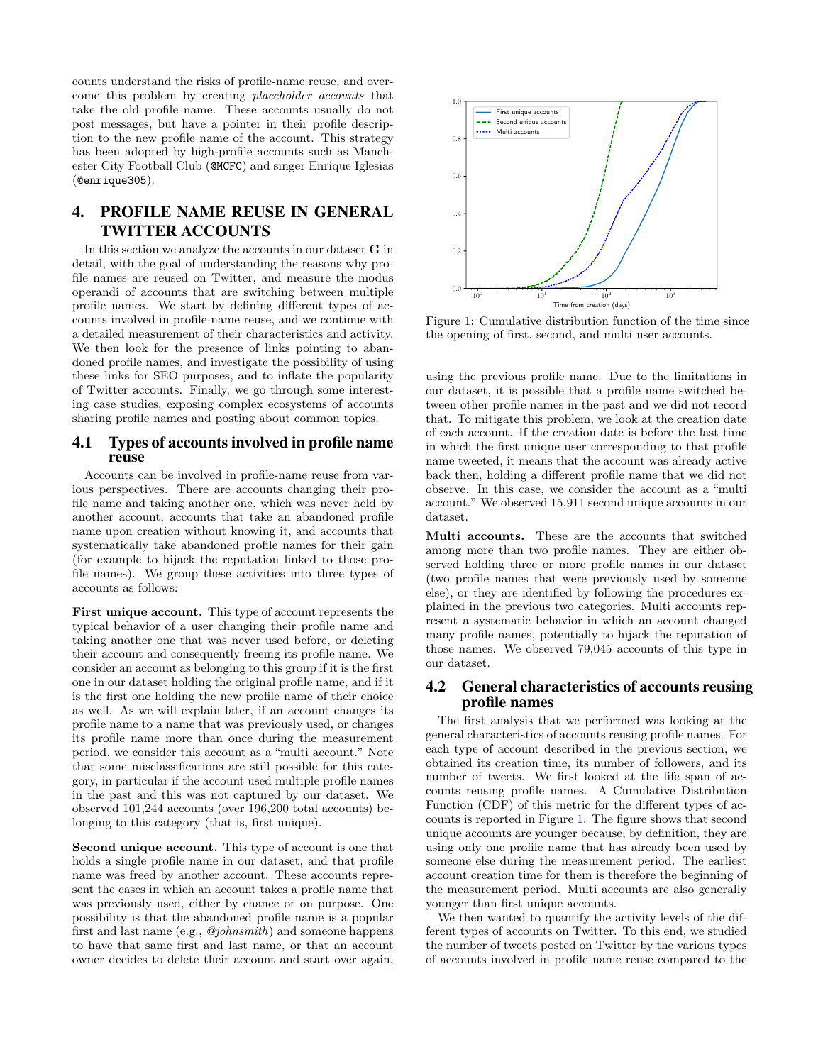counts understand the risks of profile-name reuse, and overcome this problem by creating placeholder accounts that take the old profile name. These accounts usually do not post messages, but have a pointer in their profile description to the new profile name of the account. This strategy has been adopted by high-profile accounts such as Manchester City Football Club (@MCFC) and singer Enrique Iglesias (@enrique305).

# <span id="page-3-0"></span>4. PROFILE NAME REUSE IN GENERAL TWITTER ACCOUNTS

In this section we analyze the accounts in our dataset G in detail, with the goal of understanding the reasons why profile names are reused on Twitter, and measure the modus operandi of accounts that are switching between multiple profile names. We start by defining different types of accounts involved in profile-name reuse, and we continue with a detailed measurement of their characteristics and activity. We then look for the presence of links pointing to abandoned profile names, and investigate the possibility of using these links for SEO purposes, and to inflate the popularity of Twitter accounts. Finally, we go through some interesting case studies, exposing complex ecosystems of accounts sharing profile names and posting about common topics.

### <span id="page-3-2"></span>4.1 Types of accounts involved in profile name reuse

Accounts can be involved in profile-name reuse from various perspectives. There are accounts changing their profile name and taking another one, which was never held by another account, accounts that take an abandoned profile name upon creation without knowing it, and accounts that systematically take abandoned profile names for their gain (for example to hijack the reputation linked to those profile names). We group these activities into three types of accounts as follows:

First unique account. This type of account represents the typical behavior of a user changing their profile name and taking another one that was never used before, or deleting their account and consequently freeing its profile name. We consider an account as belonging to this group if it is the first one in our dataset holding the original profile name, and if it is the first one holding the new profile name of their choice as well. As we will explain later, if an account changes its profile name to a name that was previously used, or changes its profile name more than once during the measurement period, we consider this account as a "multi account." Note that some misclassifications are still possible for this category, in particular if the account used multiple profile names in the past and this was not captured by our dataset. We observed 101,244 accounts (over 196,200 total accounts) belonging to this category (that is, first unique).

Second unique account. This type of account is one that holds a single profile name in our dataset, and that profile name was freed by another account. These accounts represent the cases in which an account takes a profile name that was previously used, either by chance or on purpose. One possibility is that the abandoned profile name is a popular first and last name (e.g., @johnsmith) and someone happens to have that same first and last name, or that an account owner decides to delete their account and start over again,

<span id="page-3-1"></span>

Figure 1: Cumulative distribution function of the time since the opening of first, second, and multi user accounts.

using the previous profile name. Due to the limitations in our dataset, it is possible that a profile name switched between other profile names in the past and we did not record that. To mitigate this problem, we look at the creation date of each account. If the creation date is before the last time in which the first unique user corresponding to that profile name tweeted, it means that the account was already active back then, holding a different profile name that we did not observe. In this case, we consider the account as a "multi account." We observed 15,911 second unique accounts in our dataset.

Multi accounts. These are the accounts that switched among more than two profile names. They are either observed holding three or more profile names in our dataset (two profile names that were previously used by someone else), or they are identified by following the procedures explained in the previous two categories. Multi accounts represent a systematic behavior in which an account changed many profile names, potentially to hijack the reputation of those names. We observed 79,045 accounts of this type in our dataset.

## 4.2 General characteristics of accounts reusing profile names

The first analysis that we performed was looking at the general characteristics of accounts reusing profile names. For each type of account described in the previous section, we obtained its creation time, its number of followers, and its number of tweets. We first looked at the life span of accounts reusing profile names. A Cumulative Distribution Function (CDF) of this metric for the different types of accounts is reported in Figure [1.](#page-3-1) The figure shows that second unique accounts are younger because, by definition, they are using only one profile name that has already been used by someone else during the measurement period. The earliest account creation time for them is therefore the beginning of the measurement period. Multi accounts are also generally younger than first unique accounts.

We then wanted to quantify the activity levels of the different types of accounts on Twitter. To this end, we studied the number of tweets posted on Twitter by the various types of accounts involved in profile name reuse compared to the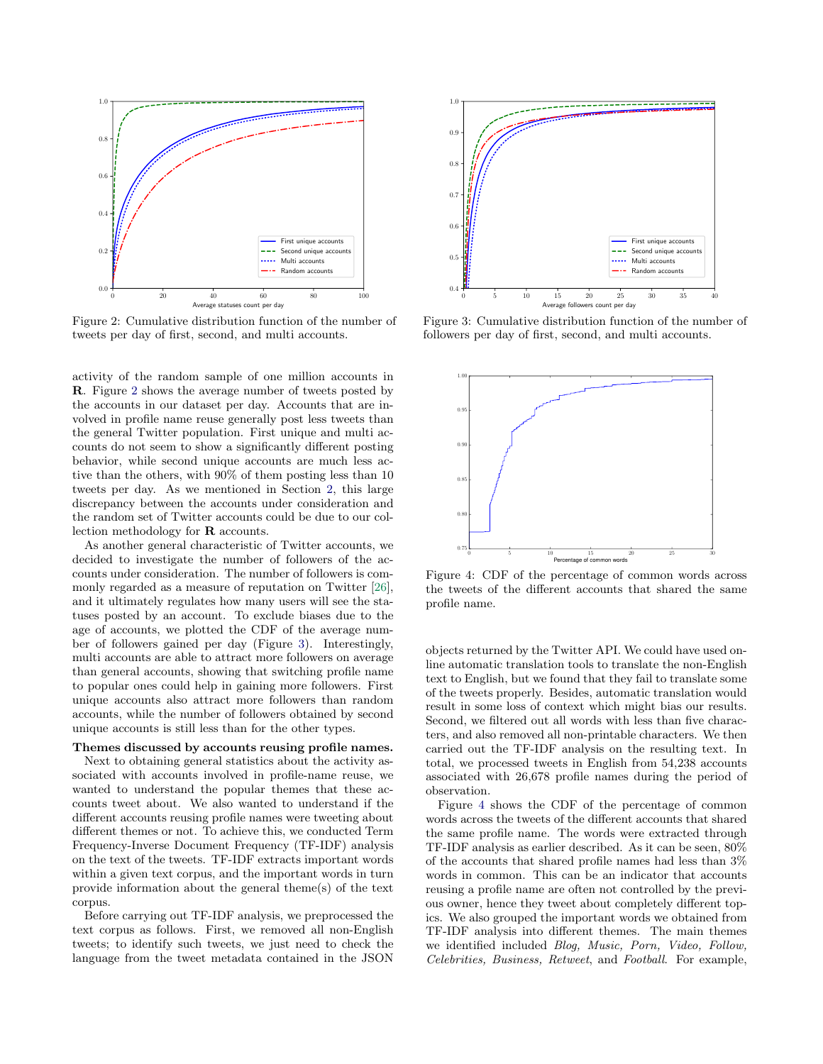<span id="page-4-0"></span>

Figure 2: Cumulative distribution function of the number of tweets per day of first, second, and multi accounts.

activity of the random sample of one million accounts in R. Figure [2](#page-4-0) shows the average number of tweets posted by the accounts in our dataset per day. Accounts that are involved in profile name reuse generally post less tweets than the general Twitter population. First unique and multi accounts do not seem to show a significantly different posting behavior, while second unique accounts are much less active than the others, with 90% of them posting less than 10 tweets per day. As we mentioned in Section [2,](#page-1-1) this large discrepancy between the accounts under consideration and the random set of Twitter accounts could be due to our collection methodology for R accounts.

As another general characteristic of Twitter accounts, we decided to investigate the number of followers of the accounts under consideration. The number of followers is commonly regarded as a measure of reputation on Twitter [\[26\]](#page-9-4), and it ultimately regulates how many users will see the statuses posted by an account. To exclude biases due to the age of accounts, we plotted the CDF of the average number of followers gained per day (Figure [3\)](#page-4-0). Interestingly, multi accounts are able to attract more followers on average than general accounts, showing that switching profile name to popular ones could help in gaining more followers. First unique accounts also attract more followers than random accounts, while the number of followers obtained by second unique accounts is still less than for the other types.

#### Themes discussed by accounts reusing profile names.

Next to obtaining general statistics about the activity associated with accounts involved in profile-name reuse, we wanted to understand the popular themes that these accounts tweet about. We also wanted to understand if the different accounts reusing profile names were tweeting about different themes or not. To achieve this, we conducted Term Frequency-Inverse Document Frequency (TF-IDF) analysis on the text of the tweets. TF-IDF extracts important words within a given text corpus, and the important words in turn provide information about the general theme(s) of the text corpus.

Before carrying out TF-IDF analysis, we preprocessed the text corpus as follows. First, we removed all non-English tweets; to identify such tweets, we just need to check the language from the tweet metadata contained in the JSON



Figure 3: Cumulative distribution function of the number of followers per day of first, second, and multi accounts.

<span id="page-4-1"></span>

Figure 4: CDF of the percentage of common words across the tweets of the different accounts that shared the same profile name.

objects returned by the Twitter API. We could have used online automatic translation tools to translate the non-English text to English, but we found that they fail to translate some of the tweets properly. Besides, automatic translation would result in some loss of context which might bias our results. Second, we filtered out all words with less than five characters, and also removed all non-printable characters. We then carried out the TF-IDF analysis on the resulting text. In total, we processed tweets in English from 54,238 accounts associated with 26,678 profile names during the period of observation.

Figure [4](#page-4-1) shows the CDF of the percentage of common words across the tweets of the different accounts that shared the same profile name. The words were extracted through TF-IDF analysis as earlier described. As it can be seen, 80% of the accounts that shared profile names had less than 3% words in common. This can be an indicator that accounts reusing a profile name are often not controlled by the previous owner, hence they tweet about completely different topics. We also grouped the important words we obtained from TF-IDF analysis into different themes. The main themes we identified included Blog, Music, Porn, Video, Follow, Celebrities, Business, Retweet, and Football. For example,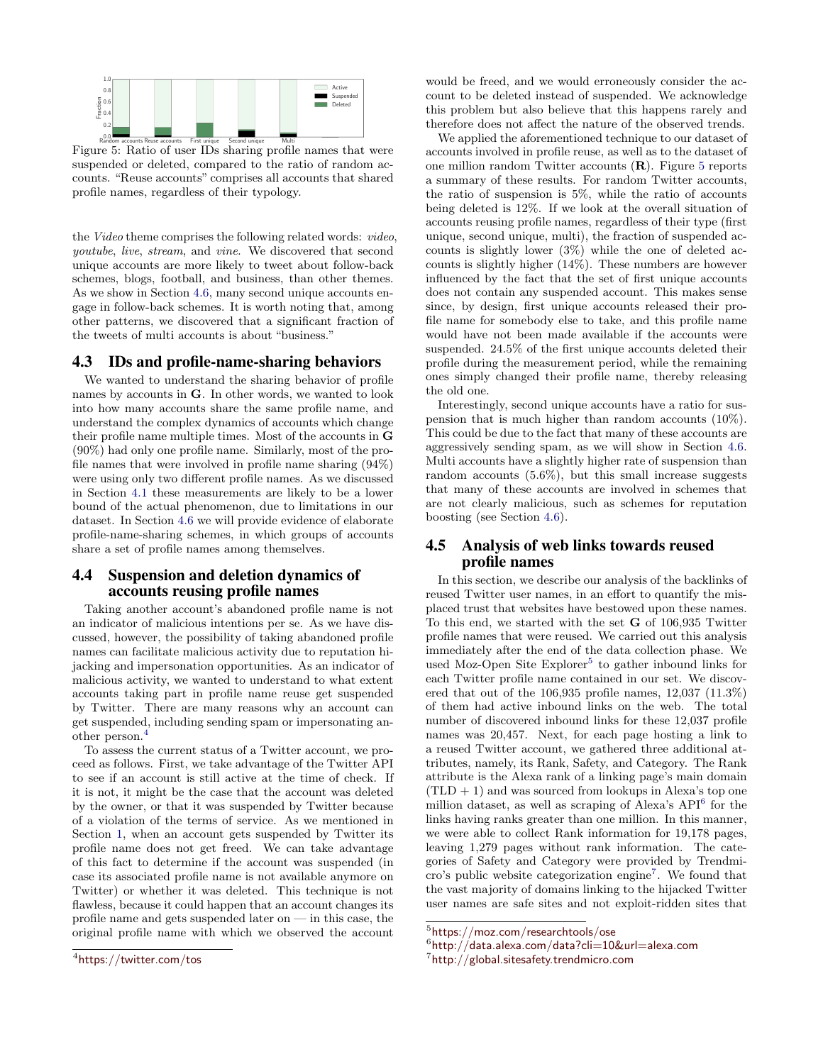<span id="page-5-1"></span>

Random accounts Reuse accounts First unique Second unique Multi Figure 5: Ratio of user IDs sharing profile names that were suspended or deleted, compared to the ratio of random accounts. "Reuse accounts" comprises all accounts that shared profile names, regardless of their typology.

the Video theme comprises the following related words: video, youtube, live, stream, and vine. We discovered that second unique accounts are more likely to tweet about follow-back schemes, blogs, football, and business, than other themes. As we show in Section [4.6,](#page-6-0) many second unique accounts engage in follow-back schemes. It is worth noting that, among other patterns, we discovered that a significant fraction of the tweets of multi accounts is about "business."

#### 4.3 IDs and profile-name-sharing behaviors

We wanted to understand the sharing behavior of profile names by accounts in G. In other words, we wanted to look into how many accounts share the same profile name, and understand the complex dynamics of accounts which change their profile name multiple times. Most of the accounts in G (90%) had only one profile name. Similarly, most of the profile names that were involved in profile name sharing (94%) were using only two different profile names. As we discussed in Section [4.1](#page-3-2) these measurements are likely to be a lower bound of the actual phenomenon, due to limitations in our dataset. In Section [4.6](#page-6-0) we will provide evidence of elaborate profile-name-sharing schemes, in which groups of accounts share a set of profile names among themselves.

## <span id="page-5-5"></span>4.4 Suspension and deletion dynamics of accounts reusing profile names

Taking another account's abandoned profile name is not an indicator of malicious intentions per se. As we have discussed, however, the possibility of taking abandoned profile names can facilitate malicious activity due to reputation hijacking and impersonation opportunities. As an indicator of malicious activity, we wanted to understand to what extent accounts taking part in profile name reuse get suspended by Twitter. There are many reasons why an account can get suspended, including sending spam or impersonating another person.[4](#page-5-0)

To assess the current status of a Twitter account, we proceed as follows. First, we take advantage of the Twitter API to see if an account is still active at the time of check. If it is not, it might be the case that the account was deleted by the owner, or that it was suspended by Twitter because of a violation of the terms of service. As we mentioned in Section [1,](#page-0-2) when an account gets suspended by Twitter its profile name does not get freed. We can take advantage of this fact to determine if the account was suspended (in case its associated profile name is not available anymore on Twitter) or whether it was deleted. This technique is not flawless, because it could happen that an account changes its profile name and gets suspended later on  $-$  in this case, the original profile name with which we observed the account would be freed, and we would erroneously consider the account to be deleted instead of suspended. We acknowledge this problem but also believe that this happens rarely and therefore does not affect the nature of the observed trends.

We applied the aforementioned technique to our dataset of accounts involved in profile reuse, as well as to the dataset of one million random Twitter accounts  $(R)$ . Figure [5](#page-5-1) reports a summary of these results. For random Twitter accounts, the ratio of suspension is 5%, while the ratio of accounts being deleted is 12%. If we look at the overall situation of accounts reusing profile names, regardless of their type (first unique, second unique, multi), the fraction of suspended accounts is slightly lower (3%) while the one of deleted accounts is slightly higher (14%). These numbers are however influenced by the fact that the set of first unique accounts does not contain any suspended account. This makes sense since, by design, first unique accounts released their profile name for somebody else to take, and this profile name would have not been made available if the accounts were suspended. 24.5% of the first unique accounts deleted their profile during the measurement period, while the remaining ones simply changed their profile name, thereby releasing the old one.

Interestingly, second unique accounts have a ratio for suspension that is much higher than random accounts (10%). This could be due to the fact that many of these accounts are aggressively sending spam, as we will show in Section [4.6.](#page-6-0) Multi accounts have a slightly higher rate of suspension than random accounts (5.6%), but this small increase suggests that many of these accounts are involved in schemes that are not clearly malicious, such as schemes for reputation boosting (see Section [4.6\)](#page-6-0).

## 4.5 Analysis of web links towards reused profile names

In this section, we describe our analysis of the backlinks of reused Twitter user names, in an effort to quantify the misplaced trust that websites have bestowed upon these names. To this end, we started with the set G of 106,935 Twitter profile names that were reused. We carried out this analysis immediately after the end of the data collection phase. We used Moz-Open Site Explorer<sup>[5](#page-5-2)</sup> to gather inbound links for each Twitter profile name contained in our set. We discovered that out of the 106,935 profile names, 12,037 (11.3%) of them had active inbound links on the web. The total number of discovered inbound links for these 12,037 profile names was 20,457. Next, for each page hosting a link to a reused Twitter account, we gathered three additional attributes, namely, its Rank, Safety, and Category. The Rank attribute is the Alexa rank of a linking page's main domain  $(TLD + 1)$  and was sourced from lookups in Alexa's top one million dataset, as well as scraping of Alexa's API<sup>[6](#page-5-3)</sup> for the links having ranks greater than one million. In this manner, we were able to collect Rank information for 19,178 pages, leaving 1,279 pages without rank information. The categories of Safety and Category were provided by Trendmicro's public website categorization engine[7](#page-5-4) . We found that the vast majority of domains linking to the hijacked Twitter user names are safe sites and not exploit-ridden sites that

<span id="page-5-0"></span><sup>4</sup> <https://twitter.com/tos>

<span id="page-5-2"></span><sup>5</sup> <https://moz.com/researchtools/ose>

<span id="page-5-3"></span> $^6$ http: $//$ data.alexa.com/data?cli $=\!10$ &url $=\!$ alexa.com

<span id="page-5-4"></span> $7$ <http://global.sitesafety.trendmicro.com>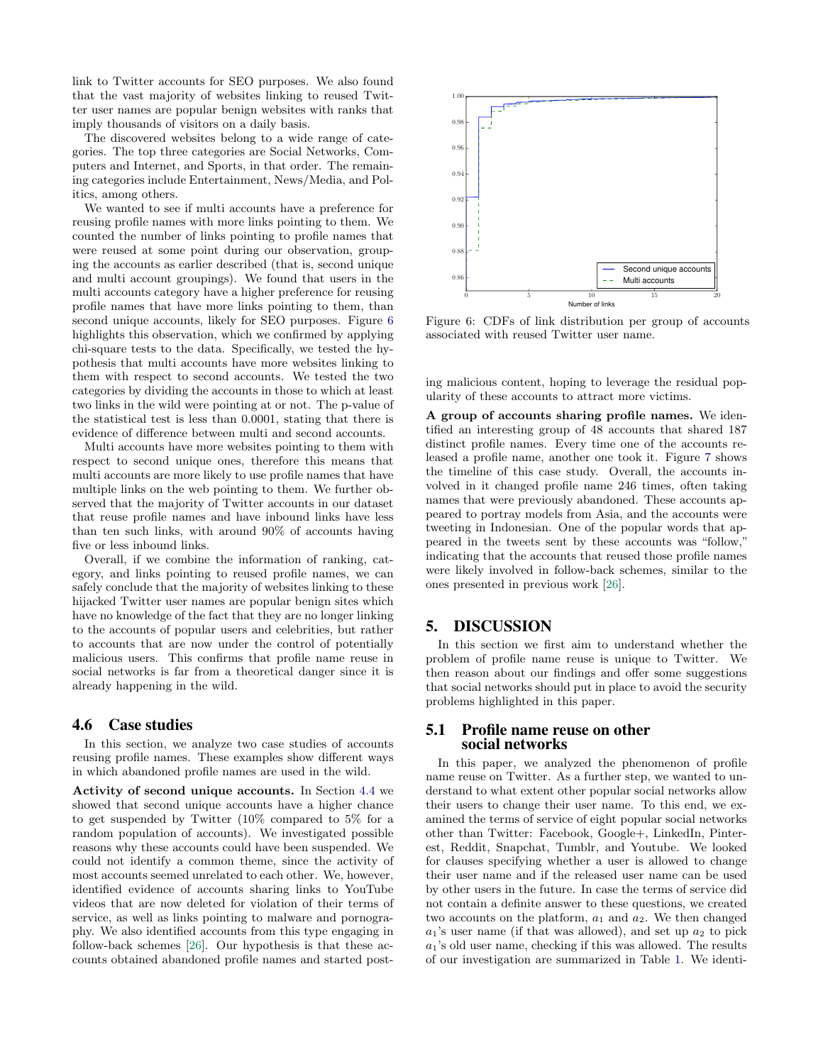link to Twitter accounts for SEO purposes. We also found that the vast majority of websites linking to reused Twitter user names are popular benign websites with ranks that imply thousands of visitors on a daily basis.

The discovered websites belong to a wide range of categories. The top three categories are Social Networks, Computers and Internet, and Sports, in that order. The remaining categories include Entertainment, News/Media, and Politics, among others.

We wanted to see if multi accounts have a preference for reusing profile names with more links pointing to them. We counted the number of links pointing to profile names that were reused at some point during our observation, grouping the accounts as earlier described (that is, second unique and multi account groupings). We found that users in the multi accounts category have a higher preference for reusing profile names that have more links pointing to them, than second unique accounts, likely for SEO purposes. Figure [6](#page-6-1) highlights this observation, which we confirmed by applying chi-square tests to the data. Specifically, we tested the hypothesis that multi accounts have more websites linking to them with respect to second accounts. We tested the two categories by dividing the accounts in those to which at least two links in the wild were pointing at or not. The p-value of the statistical test is less than 0.0001, stating that there is evidence of difference between multi and second accounts.

Multi accounts have more websites pointing to them with respect to second unique ones, therefore this means that multi accounts are more likely to use profile names that have multiple links on the web pointing to them. We further observed that the majority of Twitter accounts in our dataset that reuse profile names and have inbound links have less than ten such links, with around 90% of accounts having five or less inbound links.

Overall, if we combine the information of ranking, category, and links pointing to reused profile names, we can safely conclude that the majority of websites linking to these hijacked Twitter user names are popular benign sites which have no knowledge of the fact that they are no longer linking to the accounts of popular users and celebrities, but rather to accounts that are now under the control of potentially malicious users. This confirms that profile name reuse in social networks is far from a theoretical danger since it is already happening in the wild.

#### <span id="page-6-0"></span>4.6 Case studies

In this section, we analyze two case studies of accounts reusing profile names. These examples show different ways in which abandoned profile names are used in the wild.

Activity of second unique accounts. In Section [4.4](#page-5-5) we showed that second unique accounts have a higher chance to get suspended by Twitter (10% compared to 5% for a random population of accounts). We investigated possible reasons why these accounts could have been suspended. We could not identify a common theme, since the activity of most accounts seemed unrelated to each other. We, however, identified evidence of accounts sharing links to YouTube videos that are now deleted for violation of their terms of service, as well as links pointing to malware and pornography. We also identified accounts from this type engaging in follow-back schemes [\[26\]](#page-9-4). Our hypothesis is that these accounts obtained abandoned profile names and started post-

<span id="page-6-1"></span>

Figure 6: CDFs of link distribution per group of accounts associated with reused Twitter user name.

ing malicious content, hoping to leverage the residual popularity of these accounts to attract more victims.

A group of accounts sharing profile names. We identified an interesting group of 48 accounts that shared 187 distinct profile names. Every time one of the accounts released a profile name, another one took it. Figure [7](#page-7-0) shows the timeline of this case study. Overall, the accounts involved in it changed profile name 246 times, often taking names that were previously abandoned. These accounts appeared to portray models from Asia, and the accounts were tweeting in Indonesian. One of the popular words that appeared in the tweets sent by these accounts was "follow," indicating that the accounts that reused those profile names were likely involved in follow-back schemes, similar to the ones presented in previous work [\[26\]](#page-9-4).

#### 5. DISCUSSION

In this section we first aim to understand whether the problem of profile name reuse is unique to Twitter. We then reason about our findings and offer some suggestions that social networks should put in place to avoid the security problems highlighted in this paper.

#### 5.1 Profile name reuse on other social networks

In this paper, we analyzed the phenomenon of profile name reuse on Twitter. As a further step, we wanted to understand to what extent other popular social networks allow their users to change their user name. To this end, we examined the terms of service of eight popular social networks other than Twitter: Facebook, Google+, LinkedIn, Pinterest, Reddit, Snapchat, Tumblr, and Youtube. We looked for clauses specifying whether a user is allowed to change their user name and if the released user name can be used by other users in the future. In case the terms of service did not contain a definite answer to these questions, we created two accounts on the platform,  $a_1$  and  $a_2$ . We then changed  $a_1$ 's user name (if that was allowed), and set up  $a_2$  to pick  $a_1$ 's old user name, checking if this was allowed. The results of our investigation are summarized in Table [1.](#page-7-1) We identi-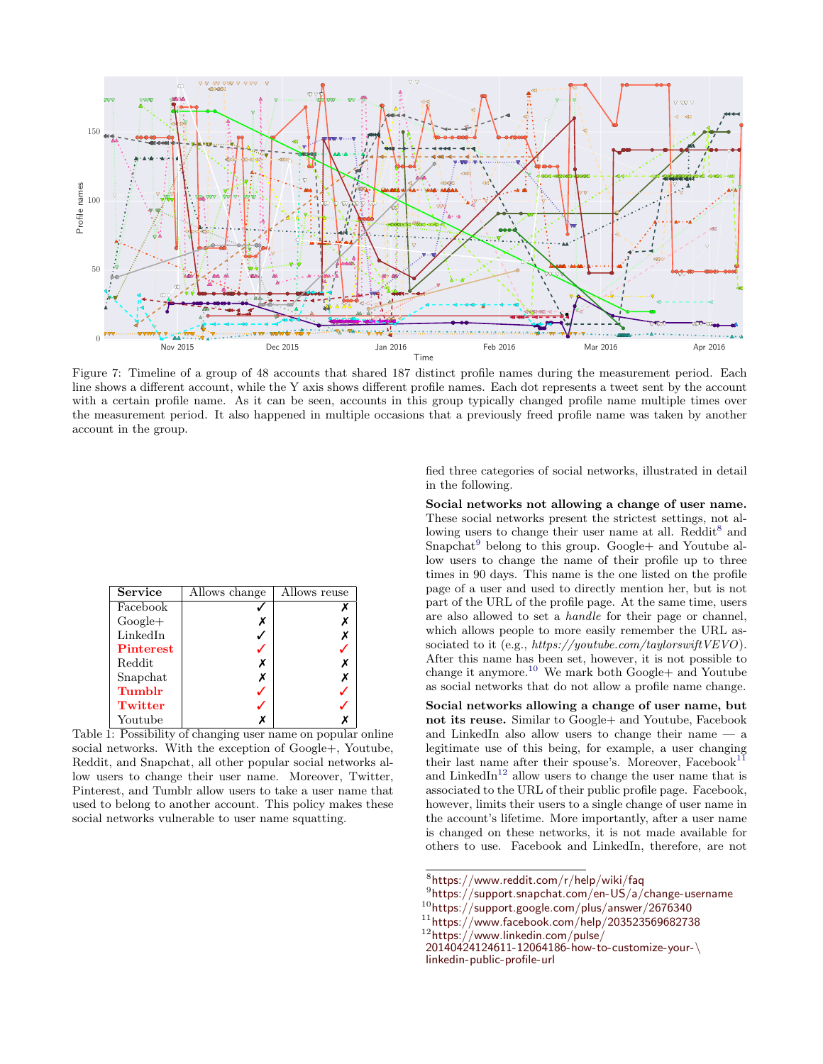<span id="page-7-0"></span>

Figure 7: Timeline of a group of 48 accounts that shared 187 distinct profile names during the measurement period. Each line shows a different account, while the Y axis shows different profile names. Each dot represents a tweet sent by the account with a certain profile name. As it can be seen, accounts in this group typically changed profile name multiple times over the measurement period. It also happened in multiple occasions that a previously freed profile name was taken by another account in the group.

<span id="page-7-1"></span>

| Service          | Allows change | Allows reuse |
|------------------|---------------|--------------|
| Facebook         |               |              |
| $Google+$        |               | х            |
| LinkedIn         |               |              |
| <b>Pinterest</b> |               |              |
| Reddit           |               | х            |
| Snapchat         |               |              |
| <b>Tumblr</b>    |               |              |
| Twitter          |               |              |
| Youtube          |               |              |

Table 1: Possibility of changing user name on popular online social networks. With the exception of Google+, Youtube, Reddit, and Snapchat, all other popular social networks allow users to change their user name. Moreover, Twitter, Pinterest, and Tumblr allow users to take a user name that used to belong to another account. This policy makes these social networks vulnerable to user name squatting.

fied three categories of social networks, illustrated in detail in the following.

Social networks not allowing a change of user name. These social networks present the strictest settings, not al-lowing users to change their user name at all. Reddit<sup>[8](#page-7-2)</sup> and Snapchat $9$  belong to this group. Google+ and Youtube allow users to change the name of their profile up to three times in 90 days. This name is the one listed on the profile page of a user and used to directly mention her, but is not part of the URL of the profile page. At the same time, users are also allowed to set a handle for their page or channel, which allows people to more easily remember the URL associated to it (e.g., https://youtube.com/taylorswiftVEVO). After this name has been set, however, it is not possible to change it anymore.[10](#page-7-4) We mark both Google+ and Youtube as social networks that do not allow a profile name change.

Social networks allowing a change of user name, but not its reuse. Similar to Google+ and Youtube, Facebook and LinkedIn also allow users to change their name — a legitimate use of this being, for example, a user changing their last name after their spouse's. Moreover,  $Facebook<sup>11</sup>$  $Facebook<sup>11</sup>$  $Facebook<sup>11</sup>$ and LinkedIn<sup>[12](#page-7-6)</sup> allow users to change the user name that is associated to the URL of their public profile page. Facebook, however, limits their users to a single change of user name in the account's lifetime. More importantly, after a user name is changed on these networks, it is not made available for others to use. Facebook and LinkedIn, therefore, are not

<span id="page-7-2"></span><sup>8</sup> <https://www.reddit.com/r/help/wiki/faq>

<span id="page-7-3"></span> $^9$ https: $//$ support.snapchat.com $/$ en-US $/\mathsf{a}/$ change-username

<span id="page-7-4"></span> $^{10}$ <https://support.google.com/plus/answer/2676340>

<span id="page-7-5"></span> $^{11}$ <https://www.facebook.com/help/203523569682738>

<span id="page-7-6"></span> $12$ [https://www.linkedin.com/pulse/](https://www.linkedin.com/pulse/20140424124611-12064186-how-to-customize-your-\linkedin-public-profile-url)

[<sup>20140424124611-12064186-</sup>how-to-customize-your-](https://www.linkedin.com/pulse/20140424124611-12064186-how-to-customize-your-\linkedin-public-profile-url)\ [linkedin-public-profile-url](https://www.linkedin.com/pulse/20140424124611-12064186-how-to-customize-your-\linkedin-public-profile-url)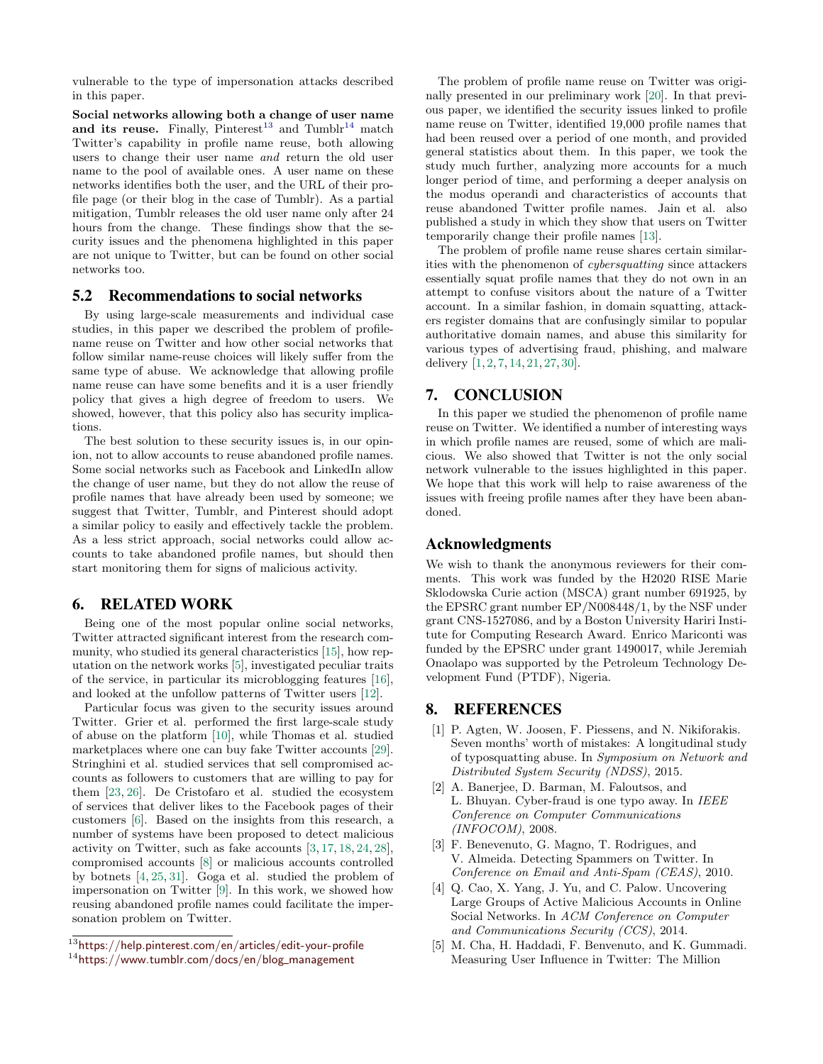vulnerable to the type of impersonation attacks described in this paper.

Social networks allowing both a change of user name and its reuse. Finally, Pinterest<sup>[13](#page-8-0)</sup> and Tumblr<sup>[14](#page-8-1)</sup> match Twitter's capability in profile name reuse, both allowing users to change their user name and return the old user name to the pool of available ones. A user name on these networks identifies both the user, and the URL of their profile page (or their blog in the case of Tumblr). As a partial mitigation, Tumblr releases the old user name only after 24 hours from the change. These findings show that the security issues and the phenomena highlighted in this paper are not unique to Twitter, but can be found on other social networks too.

#### 5.2 Recommendations to social networks

By using large-scale measurements and individual case studies, in this paper we described the problem of profilename reuse on Twitter and how other social networks that follow similar name-reuse choices will likely suffer from the same type of abuse. We acknowledge that allowing profile name reuse can have some benefits and it is a user friendly policy that gives a high degree of freedom to users. We showed, however, that this policy also has security implications.

The best solution to these security issues is, in our opinion, not to allow accounts to reuse abandoned profile names. Some social networks such as Facebook and LinkedIn allow the change of user name, but they do not allow the reuse of profile names that have already been used by someone; we suggest that Twitter, Tumblr, and Pinterest should adopt a similar policy to easily and effectively tackle the problem. As a less strict approach, social networks could allow accounts to take abandoned profile names, but should then start monitoring them for signs of malicious activity.

#### 6. RELATED WORK

Being one of the most popular online social networks, Twitter attracted significant interest from the research community, who studied its general characteristics [\[15\]](#page-9-5), how reputation on the network works [\[5\]](#page-8-2), investigated peculiar traits of the service, in particular its microblogging features [\[16\]](#page-9-6), and looked at the unfollow patterns of Twitter users [\[12\]](#page-9-7).

Particular focus was given to the security issues around Twitter. Grier et al. performed the first large-scale study of abuse on the platform [\[10\]](#page-9-8), while Thomas et al. studied marketplaces where one can buy fake Twitter accounts [\[29\]](#page-9-9). Stringhini et al. studied services that sell compromised accounts as followers to customers that are willing to pay for them [\[23,](#page-9-10) [26\]](#page-9-4). De Cristofaro et al. studied the ecosystem of services that deliver likes to the Facebook pages of their customers [\[6\]](#page-9-11). Based on the insights from this research, a number of systems have been proposed to detect malicious activity on Twitter, such as fake accounts [\[3,](#page-8-3) [17,](#page-9-12) [18,](#page-9-13) [24,](#page-9-14) [28\]](#page-9-15), compromised accounts [\[8\]](#page-9-16) or malicious accounts controlled by botnets [\[4,](#page-8-4) [25,](#page-9-17) [31\]](#page-9-18). Goga et al. studied the problem of impersonation on Twitter [\[9\]](#page-9-19). In this work, we showed how reusing abandoned profile names could facilitate the impersonation problem on Twitter.

The problem of profile name reuse on Twitter was originally presented in our preliminary work [\[20\]](#page-9-1). In that previous paper, we identified the security issues linked to profile name reuse on Twitter, identified 19,000 profile names that had been reused over a period of one month, and provided general statistics about them. In this paper, we took the study much further, analyzing more accounts for a much longer period of time, and performing a deeper analysis on the modus operandi and characteristics of accounts that reuse abandoned Twitter profile names. Jain et al. also published a study in which they show that users on Twitter temporarily change their profile names [\[13\]](#page-9-20).

The problem of profile name reuse shares certain similarities with the phenomenon of cybersquatting since attackers essentially squat profile names that they do not own in an attempt to confuse visitors about the nature of a Twitter account. In a similar fashion, in domain squatting, attackers register domains that are confusingly similar to popular authoritative domain names, and abuse this similarity for various types of advertising fraud, phishing, and malware delivery [\[1,](#page-8-5) [2,](#page-8-6) [7,](#page-9-21) [14,](#page-9-22) [21,](#page-9-23) [27,](#page-9-24) [30\]](#page-9-25).

#### 7. CONCLUSION

In this paper we studied the phenomenon of profile name reuse on Twitter. We identified a number of interesting ways in which profile names are reused, some of which are malicious. We also showed that Twitter is not the only social network vulnerable to the issues highlighted in this paper. We hope that this work will help to raise awareness of the issues with freeing profile names after they have been abandoned.

#### Acknowledgments

We wish to thank the anonymous reviewers for their comments. This work was funded by the H2020 RISE Marie Sklodowska Curie action (MSCA) grant number 691925, by the EPSRC grant number EP/N008448/1, by the NSF under grant CNS-1527086, and by a Boston University Hariri Institute for Computing Research Award. Enrico Mariconti was funded by the EPSRC under grant 1490017, while Jeremiah Onaolapo was supported by the Petroleum Technology Development Fund (PTDF), Nigeria.

#### 8. REFERENCES

- <span id="page-8-5"></span>[1] P. Agten, W. Joosen, F. Piessens, and N. Nikiforakis. Seven months' worth of mistakes: A longitudinal study of typosquatting abuse. In Symposium on Network and Distributed System Security (NDSS), 2015.
- <span id="page-8-6"></span>[2] A. Banerjee, D. Barman, M. Faloutsos, and L. Bhuyan. Cyber-fraud is one typo away. In IEEE Conference on Computer Communications (INFOCOM), 2008.
- <span id="page-8-3"></span>[3] F. Benevenuto, G. Magno, T. Rodrigues, and V. Almeida. Detecting Spammers on Twitter. In Conference on Email and Anti-Spam (CEAS), 2010.
- <span id="page-8-4"></span>[4] Q. Cao, X. Yang, J. Yu, and C. Palow. Uncovering Large Groups of Active Malicious Accounts in Online Social Networks. In ACM Conference on Computer and Communications Security (CCS), 2014.
- <span id="page-8-2"></span>[5] M. Cha, H. Haddadi, F. Benvenuto, and K. Gummadi. Measuring User Influence in Twitter: The Million

<span id="page-8-0"></span> $^{13}$ <https://help.pinterest.com/en/articles/edit-your-profile>

<span id="page-8-1"></span> $14$ [https://www.tumblr.com/docs/en/blog](https://www.tumblr.com/docs/en/blog_management)\_management